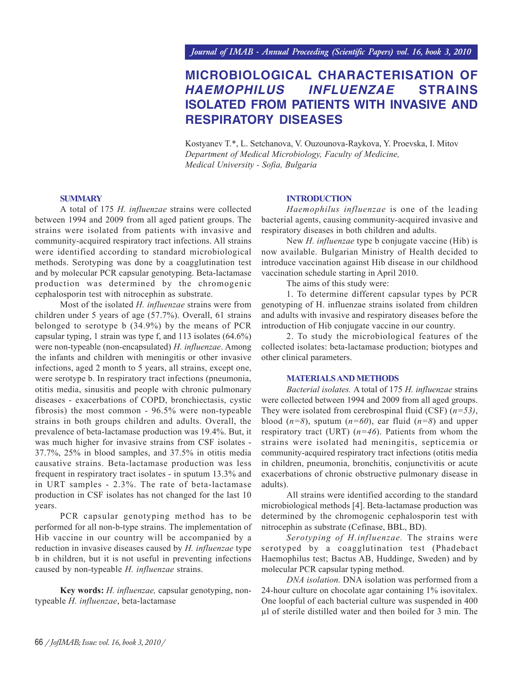# **MICROBIOLOGICAL CHARACTERISATION OF** *HAEMOPHILUS INFLUENZAE* **STRAINS ISOLATED FROM PATIENTS WITH INVASIVE AND RESPIRATORY DISEASES**

Kostyanev T.\*, L. Setchanova, V. Ouzounova-Raykova, Y. Proevska, I. Mitov *Department of Medical Microbiology, Faculty of Medicine, Medical University - Sofia, Bulgaria*

#### **SUMMARY**

A total of 175 *H. influenzae* strains were collected between 1994 and 2009 from all aged patient groups. The strains were isolated from patients with invasive and community-acquired respiratory tract infections. All strains were identified according to standard microbiological methods. Serotyping was done by a coagglutination test and by molecular PCR capsular genotyping. Beta-lactamase production was determined by the chromogenic cephalosporin test with nitrocephin as substrate.

Most of the isolated *H. influenzae* strains were from children under 5 years of age (57.7%). Overall, 61 strains belonged to serotype b (34.9%) by the means of PCR capsular typing, 1 strain was type f, and 113 isolates (64.6%) were non-typeable (non-encapsulated) *H. influenzae*. Among the infants and children with meningitis or other invasive infections, aged 2 month to 5 years, all strains, except one, were serotype b. In respiratory tract infections (pneumonia, otitis media, sinusitis and people with chronic pulmonary diseases - exacerbations of COPD, bronchiectasis, cystic fibrosis) the most common - 96.5% were non-typeable strains in both groups children and adults. Overall, the prevalence of beta-lactamase production was 19.4%. But, it was much higher for invasive strains from CSF isolates - 37.7%, 25% in blood samples, and 37.5% in otitis media causative strains. Beta-lactamase production was less frequent in respiratory tract isolates - in sputum 13.3% and in URT samples - 2.3%. The rate of beta-lactamase production in CSF isolates has not changed for the last 10 years.

PCR capsular genotyping method has to be performed for all non-b-type strains. The implementation of Hib vaccine in our country will be accompanied by a reduction in invasive diseases caused by *H. influenzae* type b in children, but it is not useful in preventing infections caused by non-typeable *H. influenzae* strains.

**Key words:** *H. influenzae,* capsular genotyping, nontypeable *H. influenzae*, beta-lactamase

#### **INTRODUCTION**

*Haemophilus influenzae* is one of the leading bacterial agents, causing community-acquired invasive and respiratory diseases in both children and adults.

New *H. influenzae* type b conjugate vaccine (Hib) is now available. Bulgarian Ministry of Health decided to introduce vaccination against Hib disease in our childhood vaccination schedule starting in April 2010.

The aims of this study were:

1. To determine different capsular types by PCR genotyping of H. influenzae strains isolated from children and adults with invasive and respiratory diseases before the introduction of Hib conjugate vaccine in our country.

2. To study the microbiological features of the collected isolates: beta-lactamase production; biotypes and other clinical parameters.

# **MATERIALS AND METHODS**

*Bacterial isolates.* A total of 175 *H. influenzae* strains were collected between 1994 and 2009 from all aged groups. They were isolated from cerebrospinal fluid (CSF) (*n=53)*, blood (*n=8*), sputum (*n=60*), ear fluid (*n=8*) and upper respiratory tract (URT) (*n=46*). Patients from whom the strains were isolated had meningitis, septicemia or community-acquired respiratory tract infections (otitis media in children, pneumonia, bronchitis, conjunctivitis or acute exacerbations of chronic obstructive pulmonary disease in adults).

All strains were identified according to the standard microbiological methods [4]. Beta-lactamase production was determined by the chromogenic cephalosporin test with nitrocephin as substrate (Cefinase, BBL, BD).

*Serotyping of H.influenzae.* The strains were serotyped by a coagglutination test (Phadebact Haemophilus test; Bactus AB, Huddinge, Sweden) and by molecular PCR capsular typing method.

*DNA isolation.* DNA isolation was performed from a 24-hour culture on chocolate agar containing 1% isovitalex. One loopful of each bacterial culture was suspended in 400 µl of sterile distilled water and then boiled for 3 min. The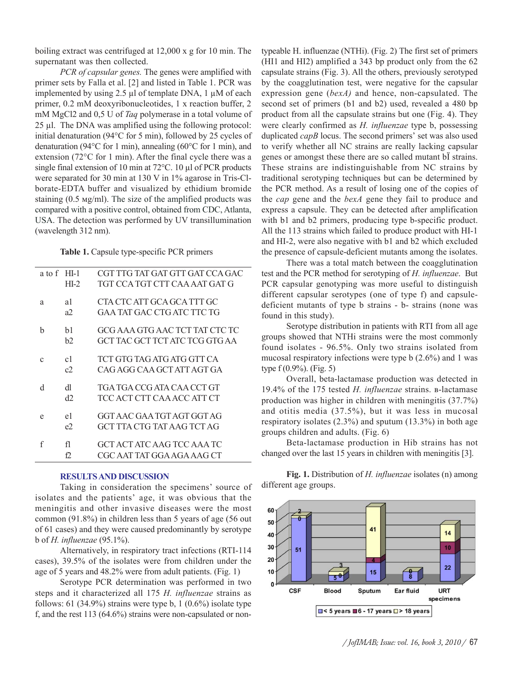boiling extract was centrifuged at 12,000 x g for 10 min. The supernatant was then collected.

*PCR of capsular genes.* The genes were amplified with primer sets by Falla et al. [2] and listed in Table 1. PCR was implemented by using  $2.5 \mu$ l of template DNA, 1  $\mu$ M of each primer, 0.2 mM deoxyribonucleotides, 1 x reaction buffer, 2 mM MgCl2 and 0,5 U of *Taq* polymerase in a total volume of 25 µl. The DNA was amplified using the following protocol: initial denaturation (94°C for 5 min), followed by 25 cycles of denaturation (94°C for 1 min), annealing (60°C for 1 min), and extension (72°C for 1 min). After the final cycle there was a single final extension of 10 min at 72 °C. 10 µl of PCR products were separated for 30 min at 130 V in 1% agarose in Tris-Clborate-EDTA buffer and visualized by ethidium bromide staining  $(0.5 \text{ mg/ml})$ . The size of the amplified products was compared with a positive control, obtained from CDC, Atlanta, USA. The detection was performed by UV transillumination (wavelength 312 nm).

**Table 1.** Capsule type-specific PCR primers

| CGT TTG TAT GAT GTT GAT CCA GAC<br>a to f HI-1<br>TGT CCA TGT CTT CAA AAT GAT G<br>HI-2<br>CTA CTC ATT GCA GCA TTT GC<br>a1<br>a |  |
|----------------------------------------------------------------------------------------------------------------------------------|--|
|                                                                                                                                  |  |
|                                                                                                                                  |  |
|                                                                                                                                  |  |
| GAA TAT GAC CTG ATC TTC TG<br>a2                                                                                                 |  |
| GCG AAA GTG AAC TCT TAT CTC TC<br>b<br>b1                                                                                        |  |
| GCT TAC GCT TCT ATC TCG GTG AA<br>b2                                                                                             |  |
| TCT GTG TAG ATG ATG GTT CA<br>c1<br>$\mathbf{C}$                                                                                 |  |
| CAG AGG CAA GCT ATT AGT GA<br>c2                                                                                                 |  |
| d<br>TGA TGA CCG ATA CA A CCT GT<br>dl                                                                                           |  |
| d2<br>TCC ACT CTT CAA ACC ATT CT                                                                                                 |  |
| GGT AAC GAA TGT AGT GGT AG<br>e1<br>e                                                                                            |  |
| GCT TTA CTG TAT AAG TCT AG<br>e2                                                                                                 |  |
| f<br>GCT ACT ATC AAG TCC AAA TC<br>fl                                                                                            |  |
| CGC AAT TAT GGA AGA AAG CT<br>f2                                                                                                 |  |

## **RESULTS AND DISCUSSION**

Taking in consideration the specimens' source of isolates and the patients' age, it was obvious that the meningitis and other invasive diseases were the most common (91.8%) in children less than 5 years of age (56 out of 61 cases) and they were caused predominantly by serotype b of *H. influenzae* (95.1%).

Alternatively, in respiratory tract infections (RTI-114 cases), 39.5% of the isolates were from children under the age of 5 years and 48.2% were from adult patients. (Fig. 1)

Serotype PCR determination was performed in two steps and it characterized all 175 *H. influenzae* strains as follows: 61 (34.9%) strains were type b, 1 (0.6%) isolate type f, and the rest 113 (64.6%) strains were non-capsulated or nontypeable H. influenzae (NTHi). (Fig. 2) The first set of primers (HI1 and HI2) amplified a 343 bp product only from the 62 capsulate strains (Fig. 3). All the others, previously serotyped by the coagglutination test, were negative for the capsular expression gene (*bexA)* and hence, non-capsulated. The second set of primers (b1 and b2) used, revealed a 480 bp product from all the capsulate strains but one (Fig. 4). They were clearly confirmed as *H. influenzae* type b, possessing duplicated *capB* locus. The second primers' set was also used to verify whether all NC strains are really lacking capsular genes or amongst these there are so called mutant bl strains. These strains are indistinguishable from NC strains by traditional serotyping techniques but can be determined by the PCR method. As a result of losing one of the copies of the *cap* gene and the *bexA* gene they fail to produce and express a capsule. They can be detected after amplification with b1 and b2 primers, producing type b-specific product. All the 113 strains which failed to produce product with HI-1 and HI-2, were also negative with b1 and b2 which excluded the presence of capsule-deficient mutants among the isolates.

There was a total match between the coagglutination test and the PCR method for serotyping of *H. influenzae*. But PCR capsular genotyping was more useful to distinguish different capsular serotypes (one of type f) and capsuledeficient mutants of type b strains - b- strains (none was found in this study).

Serotype distribution in patients with RTI from all age groups showed that NTHi strains were the most commonly found isolates - 96.5%. Only two strains isolated from mucosal respiratory infections were type b (2.6%) and 1 was type f (0.9%). (Fig. 5)

Overall, beta-lactamase production was detected in 19.4% of the 175 tested *H. influenzae* strains. â-lactamase production was higher in children with meningitis (37.7%) and otitis media (37.5%), but it was less in mucosal respiratory isolates (2.3%) and sputum (13.3%) in both age groups children and adults. (Fig. 6)

Beta-lactamase production in Hib strains has not changed over the last 15 years in children with meningitis [3].

60  $\overline{\mathbf{a}}$ 50 41  $14$ 40 30  $10$ 51 20  $\overline{22}$  $10$  $15$  $\frac{6}{8}$  $\overline{50}$  $\mathbf{0}$ **CSF Blood** Sputum Ear fluid **URT** specimens  $\Box$  < 5 years  $\Box$  6 - 17 years  $\Box$  > 18 years

**Fig. 1.** Distribution of *H. influenzae* isolates (n) among different age groups.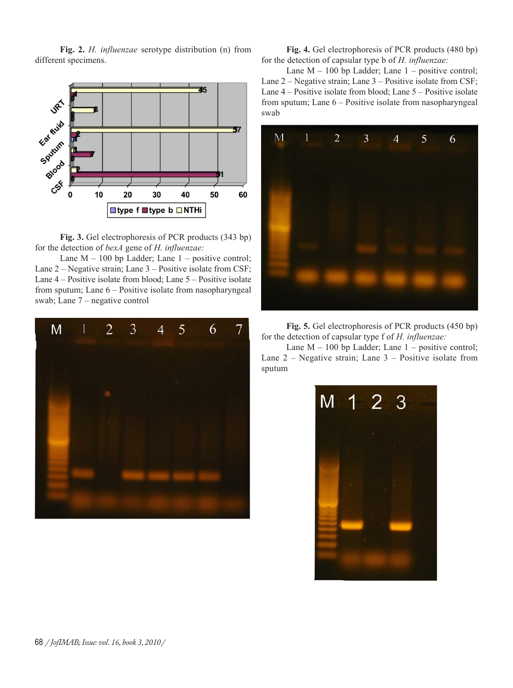**Fig. 2.** *H. influenzae* serotype distribution (n) from different specimens.



**Fig. 3.** Gel electrophoresis of PCR products (343 bp) for the detection of *bexA* gene of *H. influenzae:*

Lane  $M - 100$  bp Ladder; Lane  $1 -$  positive control; Lane 2 – Negative strain; Lane 3 – Positive isolate from CSF; Lane 4 – Positive isolate from blood; Lane 5 – Positive isolate from sputum; Lane 6 – Positive isolate from nasopharyngeal swab; Lane 7 – negative control



**Fig. 4.** Gel electrophoresis of PCR products (480 bp) for the detection of capsular type b of *H. influenzae:*

Lane  $M - 100$  bp Ladder; Lane  $1 -$  positive control; Lane 2 – Negative strain; Lane 3 – Positive isolate from CSF; Lane 4 – Positive isolate from blood; Lane 5 – Positive isolate from sputum; Lane 6 – Positive isolate from nasopharyngeal swab



**Fig. 5.** Gel electrophoresis of PCR products (450 bp) for the detection of capsular type f of *H. influenzae:*

Lane  $M - 100$  bp Ladder; Lane  $1 -$  positive control; Lane  $2$  – Negative strain; Lane  $3$  – Positive isolate from sputum